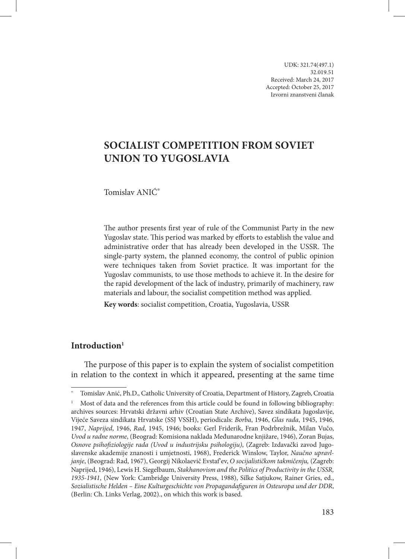UDK: 321.74(497.1) 32.019.51 Received: March 24, 2017 Accepted: October 25, 2017 Izvorni znanstveni članak

# **Socialist Competition from Soviet Union to Yugoslavia**

Tomislav ANIĆ\*

The author presents first year of rule of the Communist Party in the new Yugoslav state. This period was marked by efforts to establish the value and administrative order that has already been developed in the USSR. The single-party system, the planned economy, the control of public opinion were techniques taken from Soviet practice. It was important for the Yugoslav communists, to use those methods to achieve it. In the desire for the rapid development of the lack of industry, primarily of machinery, raw materials and labour, the socialist competition method was applied.

**Key words**: socialist competition, Croatia, Yugoslavia, USSR

# **Introduction<sup>1</sup>**

The purpose of this paper is to explain the system of socialist competition in relation to the context in which it appeared, presenting at the same time

<sup>\*</sup> Tomislav Anić, Ph.D., Catholic University of Croatia, Department of History, Zagreb, Croatia

Most of data and the references from this article could be found in following bibliography: archives sources: Hrvatski državni arhiv (Croatian State Archive), Savez sindikata Jugoslavije, Vijeće Saveza sindikata Hrvatske (SSJ VSSH), periodicals: *Borba*, 1946, *Glas rada*, 1945, 1946, 1947, *Naprijed*, 1946, *Rad*, 1945, 1946; books: Gerl Friderik, Fran Podrbrežnik, Milan Vučo, *Uvod u radne norme*, (Beograd: Komisiona naklada Međunarodne knjižare, 1946), Zoran Bujas, *Osnove psihofiziologije rada (Uvod u industrijsku psihologiju)*, (Zagreb: Izdavački zavod Jugoslavenske akademije znanosti i umjetnosti, 1968), Frederick Winslow, Taylor, *Naučno upravljanje*, (Beograd: Rad, 1967), Georgij Nikolaevič Evstafʹev, *O socijalističkom takmičenju,* (Zagreb: Naprijed, 1946), Lewis H. Siegelbaum, *Stakhanovism and the Politics of Productivity in the USSR, 1935-1941*, (New York: Cambridge University Press, 1988), Silke Satjukow, Rainer Gries, ed., *Sozialistische Helden – Eine Kulturgeschichte von Propagandafiguren in Osteuropa und der DDR*, (Berlin: Ch. Links Verlag, 2002)., on which this work is based.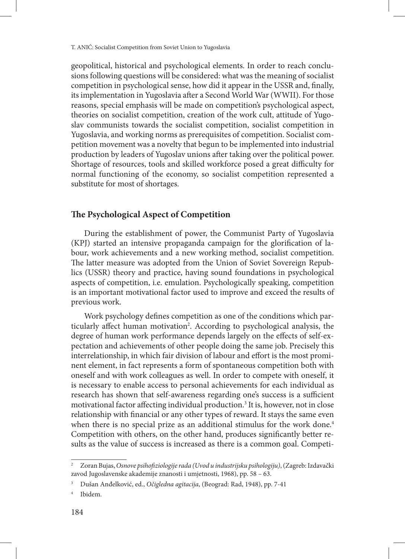geopolitical, historical and psychological elements. In order to reach conclusions following questions will be considered: what was the meaning of socialist competition in psychological sense, how did it appear in the USSR and, finally, its implementation in Yugoslavia after a Second World War (WWII). For those reasons, special emphasis will be made on competition's psychological aspect, theories on socialist competition, creation of the work cult, attitude of Yugoslav communists towards the socialist competition, socialist competition in Yugoslavia, and working norms as prerequisites of competition. Socialist competition movement was a novelty that begun to be implemented into industrial production by leaders of Yugoslav unions after taking over the political power. Shortage of resources, tools and skilled workforce posed a great difficulty for normal functioning of the economy, so socialist competition represented a substitute for most of shortages.

# **The Psychological Aspect of Competition**

During the establishment of power, the Communist Party of Yugoslavia (KPJ) started an intensive propaganda campaign for the glorification of labour, work achievements and a new working method, socialist competition. The latter measure was adopted from the Union of Soviet Sovereign Republics (USSR) theory and practice, having sound foundations in psychological aspects of competition, i.e. emulation. Psychologically speaking, competition is an important motivational factor used to improve and exceed the results of previous work.

Work psychology defines competition as one of the conditions which particularly affect human motivation2 . According to psychological analysis, the degree of human work performance depends largely on the effects of self-expectation and achievements of other people doing the same job. Precisely this interrelationship, in which fair division of labour and effort is the most prominent element, in fact represents a form of spontaneous competition both with oneself and with work colleagues as well. In order to compete with oneself, it is necessary to enable access to personal achievements for each individual as research has shown that self-awareness regarding one's success is a sufficient motivational factor affecting individual production.<sup>3</sup> It is, however, not in close relationship with financial or any other types of reward. It stays the same even when there is no special prize as an additional stimulus for the work done.<sup>4</sup> Competition with others, on the other hand, produces significantly better results as the value of success is increased as there is a common goal. Competi-

<sup>2</sup> Zoran Bujas, *Osnove psihofiziologije rada (Uvod u industrijsku psihologiju)*, (Zagreb: Izdavački zavod Jugoslavenske akademije znanosti i umjetnosti, 1968), pp. 58 – 63.

<sup>3</sup> Dušan Anđelković, ed., *Očigledna agitacija*, (Beograd: Rad, 1948), pp. 7-41

<sup>4</sup> Ibidem.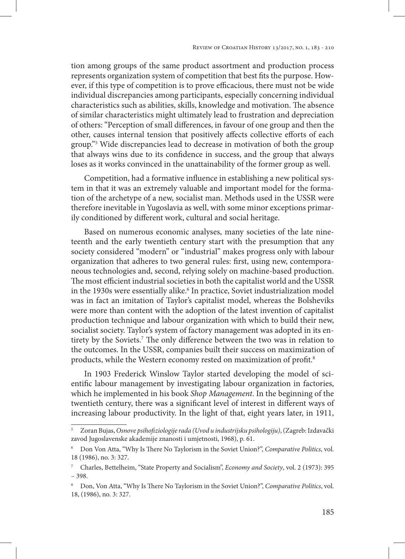tion among groups of the same product assortment and production process represents organization system of competition that best fits the purpose. However, if this type of competition is to prove efficacious, there must not be wide individual discrepancies among participants, especially concerning individual characteristics such as abilities, skills, knowledge and motivation. The absence of similar characteristics might ultimately lead to frustration and depreciation of others: "Perception of small differences, in favour of one group and then the other, causes internal tension that positively affects collective efforts of each group."5 Wide discrepancies lead to decrease in motivation of both the group that always wins due to its confidence in success, and the group that always loses as it works convinced in the unattainability of the former group as well.

Competition, had a formative influence in establishing a new political system in that it was an extremely valuable and important model for the formation of the archetype of a new, socialist man. Methods used in the USSR were therefore inevitable in Yugoslavia as well, with some minor exceptions primarily conditioned by different work, cultural and social heritage.

Based on numerous economic analyses, many societies of the late nineteenth and the early twentieth century start with the presumption that any society considered "modern" or "industrial" makes progress only with labour organization that adheres to two general rules: first, using new, contemporaneous technologies and, second, relying solely on machine-based production. The most efficient industrial societies in both the capitalist world and the USSR in the 1930s were essentially alike.<sup>6</sup> In practice, Soviet industrialization model was in fact an imitation of Taylor's capitalist model, whereas the Bolsheviks were more than content with the adoption of the latest invention of capitalist production technique and labour organization with which to build their new, socialist society. Taylor's system of factory management was adopted in its entirety by the Soviets.7 The only difference between the two was in relation to the outcomes. In the USSR, companies built their success on maximization of products, while the Western economy rested on maximization of profit.8

In 1903 Frederick Winslow Taylor started developing the model of scientific labour management by investigating labour organization in factories, which he implemented in his book *Shop Management*. In the beginning of the twentieth century, there was a significant level of interest in different ways of increasing labour productivity. In the light of that, eight years later, in 1911,

<sup>5</sup> Zoran Bujas, *Osnove psihofiziologije rada (Uvod u industrijsku psihologiju)*, (Zagreb: Izdavački zavod Jugoslavenske akademije znanosti i umjetnosti, 1968), p. 61.

<sup>6</sup> Don Von Atta, "Why Is There No Taylorism in the Soviet Union?", *Comparative Politics*, vol. 18 (1986), no. 3: 327.

<sup>7</sup> Charles, Bettelheim, "State Property and Socialism", *Economy and Society*, vol. 2 (1973): 395 – 398.

<sup>8</sup> Don, Von Atta, "Why Is There No Taylorism in the Soviet Union?", *Comparative Politics*, vol. 18, (1986), no. 3: 327.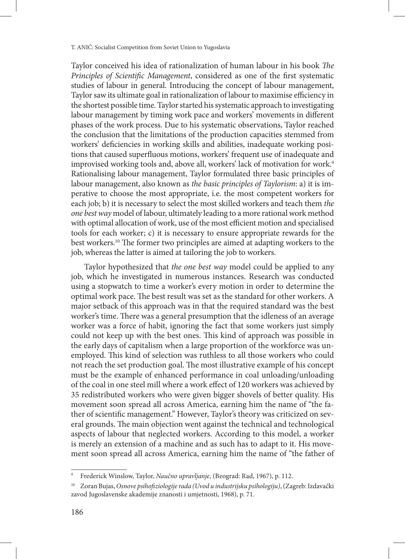Taylor conceived his idea of rationalization of human labour in his book *The Principles of Scientific Management*, considered as one of the first systematic studies of labour in general. Introducing the concept of labour management, Taylor saw its ultimate goal in rationalization of labour to maximise efficiency in the shortest possible time. Taylor started his systematic approach to investigating labour management by timing work pace and workers' movements in different phases of the work process. Due to his systematic observations, Taylor reached the conclusion that the limitations of the production capacities stemmed from workers' deficiencies in working skills and abilities, inadequate working positions that caused superfluous motions, workers' frequent use of inadequate and improvised working tools and, above all, workers' lack of motivation for work.<sup>9</sup> Rationalising labour management, Taylor formulated three basic principles of labour management, also known as *the basic principles of Taylorism*: a) it is imperative to choose the most appropriate, i.e. the most competent workers for each job; b) it is necessary to select the most skilled workers and teach them *the one best way* model of labour, ultimately leading to a more rational work method with optimal allocation of work, use of the most efficient motion and specialised tools for each worker; c) it is necessary to ensure appropriate rewards for the best workers.10 The former two principles are aimed at adapting workers to the job, whereas the latter is aimed at tailoring the job to workers.

Taylor hypothesized that *the one best way* model could be applied to any job, which he investigated in numerous instances. Research was conducted using a stopwatch to time a worker's every motion in order to determine the optimal work pace. The best result was set as the standard for other workers. A major setback of this approach was in that the required standard was the best worker's time. There was a general presumption that the idleness of an average worker was a force of habit, ignoring the fact that some workers just simply could not keep up with the best ones. This kind of approach was possible in the early days of capitalism when a large proportion of the workforce was unemployed. This kind of selection was ruthless to all those workers who could not reach the set production goal. The most illustrative example of his concept must be the example of enhanced performance in coal unloading/unloading of the coal in one steel mill where a work effect of 120 workers was achieved by 35 redistributed workers who were given bigger shovels of better quality. His movement soon spread all across America, earning him the name of "the father of scientific management." However, Taylor's theory was criticized on several grounds. The main objection went against the technical and technological aspects of labour that neglected workers. According to this model, a worker is merely an extension of a machine and as such has to adapt to it. His movement soon spread all across America, earning him the name of "the father of

<sup>9</sup> Frederick Winslow, Taylor, *Naučno upravljanje*, (Beograd: Rad, 1967), p. 112.

<sup>10</sup> Zoran Bujas, *Osnove psihofiziologije rada (Uvod u industrijsku psihologiju)*, (Zagreb: Izdavački zavod Jugoslavenske akademije znanosti i umjetnosti, 1968), p. 71.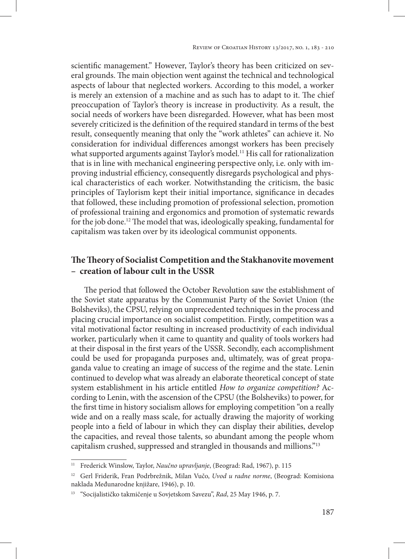scientific management." However, Taylor's theory has been criticized on several grounds. The main objection went against the technical and technological aspects of labour that neglected workers. According to this model, a worker is merely an extension of a machine and as such has to adapt to it. The chief preoccupation of Taylor's theory is increase in productivity. As a result, the social needs of workers have been disregarded. However, what has been most severely criticized is the definition of the required standard in terms of the best result, consequently meaning that only the "work athletes" can achieve it. No consideration for individual differences amongst workers has been precisely what supported arguments against Taylor's model.<sup>11</sup> His call for rationalization that is in line with mechanical engineering perspective only, i.e. only with improving industrial efficiency, consequently disregards psychological and physical characteristics of each worker. Notwithstanding the criticism, the basic principles of Taylorism kept their initial importance, significance in decades that followed, these including promotion of professional selection, promotion of professional training and ergonomics and promotion of systematic rewards for the job done.12 The model that was, ideologically speaking, fundamental for capitalism was taken over by its ideological communist opponents.

# **The Theory of Socialist Competition and the Stakhanovite movement – creation of labour cult in the USSR**

The period that followed the October Revolution saw the establishment of the Soviet state apparatus by the Communist Party of the Soviet Union (the Bolsheviks), the CPSU, relying on unprecedented techniques in the process and placing crucial importance on socialist competition. Firstly, competition was a vital motivational factor resulting in increased productivity of each individual worker, particularly when it came to quantity and quality of tools workers had at their disposal in the first years of the USSR. Secondly, each accomplishment could be used for propaganda purposes and, ultimately, was of great propaganda value to creating an image of success of the regime and the state. Lenin continued to develop what was already an elaborate theoretical concept of state system establishment in his article entitled *How to organize competition?* According to Lenin, with the ascension of the CPSU (the Bolsheviks) to power, for the first time in history socialism allows for employing competition "on a really wide and on a really mass scale, for actually drawing the majority of working people into a field of labour in which they can display their abilities, develop the capacities, and reveal those talents, so abundant among the people whom capitalism crushed, suppressed and strangled in thousands and millions."13

<sup>&</sup>lt;sup>11</sup> Frederick Winslow, Taylor, *Naučno upravljanje*, (Beograd: Rad, 1967), p. 115

<sup>12</sup> Gerl Friderik, Fran Podrbrežnik, Milan Vučo, *Uvod u radne norme*, (Beograd: Komisiona naklada Međunarodne knjižare, 1946), p. 10.

<sup>13</sup> "Socijalističko takmičenje u Sovjetskom Savezu", *Rad*, 25 May 1946, p. 7.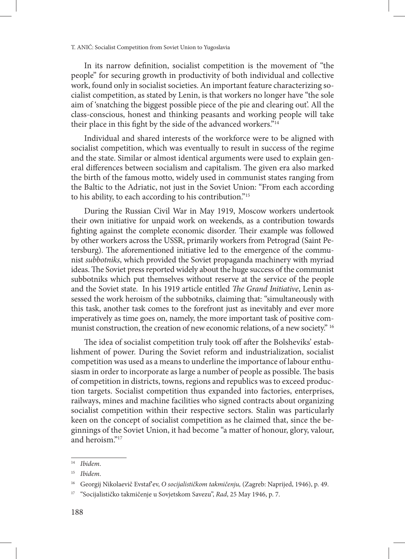In its narrow definition, socialist competition is the movement of "the people" for securing growth in productivity of both individual and collective work, found only in socialist societies. An important feature characterizing socialist competition, as stated by Lenin, is that workers no longer have "the sole aim of 'snatching the biggest possible piece of the pie and clearing out'. All the class-conscious, honest and thinking peasants and working people will take their place in this fight by the side of the advanced workers."<sup>14</sup>

Individual and shared interests of the workforce were to be aligned with socialist competition, which was eventually to result in success of the regime and the state. Similar or almost identical arguments were used to explain general differences between socialism and capitalism. The given era also marked the birth of the famous motto, widely used in communist states ranging from the Baltic to the Adriatic, not just in the Soviet Union: "From each according to his ability, to each according to his contribution."15

During the Russian Civil War in May 1919, Moscow workers undertook their own initiative for unpaid work on weekends, as a contribution towards fighting against the complete economic disorder. Their example was followed by other workers across the USSR, primarily workers from Petrograd (Saint Petersburg). The aforementioned initiative led to the emergence of the communist *subbotniks*, which provided the Soviet propaganda machinery with myriad ideas. The Soviet press reported widely about the huge success of the communist subbotniks which put themselves without reserve at the service of the people and the Soviet state. In his 1919 article entitled *The Grand Initiative*, Lenin assessed the work heroism of the subbotniks, claiming that: "simultaneously with this task, another task comes to the forefront just as inevitably and ever more imperatively as time goes on, namely, the more important task of positive communist construction, the creation of new economic relations, of a new society." <sup>16</sup>

The idea of socialist competition truly took off after the Bolsheviks' establishment of power. During the Soviet reform and industrialization, socialist competition was used as a means to underline the importance of labour enthusiasm in order to incorporate as large a number of people as possible. The basis of competition in districts, towns, regions and republics was to exceed production targets. Socialist competition thus expanded into factories, enterprises, railways, mines and machine facilities who signed contracts about organizing socialist competition within their respective sectors. Stalin was particularly keen on the concept of socialist competition as he claimed that, since the beginnings of the Soviet Union, it had become "a matter of honour, glory, valour, and heroism."17

<sup>14</sup> *Ibidem*.

<sup>15</sup> *Ibidem*.

<sup>&</sup>lt;sup>16</sup> Georgij Nikolaevič Evstaf'ev, O socijalističkom takmičenju, (Zagreb: Naprijed, 1946), p. 49.

<sup>17</sup> "Socijalističko takmičenje u Sovjetskom Savezu", *Rad*, 25 May 1946, p. 7.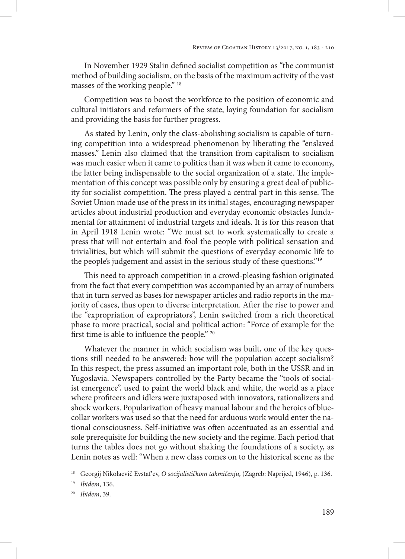In November 1929 Stalin defined socialist competition as "the communist method of building socialism, on the basis of the maximum activity of the vast masses of the working people." 18

Competition was to boost the workforce to the position of economic and cultural initiators and reformers of the state, laying foundation for socialism and providing the basis for further progress.

As stated by Lenin, only the class-abolishing socialism is capable of turning competition into a widespread phenomenon by liberating the "enslaved masses." Lenin also claimed that the transition from capitalism to socialism was much easier when it came to politics than it was when it came to economy, the latter being indispensable to the social organization of a state. The implementation of this concept was possible only by ensuring a great deal of publicity for socialist competition. The press played a central part in this sense. The Soviet Union made use of the press in its initial stages, encouraging newspaper articles about industrial production and everyday economic obstacles fundamental for attainment of industrial targets and ideals. It is for this reason that in April 1918 Lenin wrote: "We must set to work systematically to create a press that will not entertain and fool the people with political sensation and trivialities, but which will submit the questions of everyday economic life to the people's judgement and assist in the serious study of these questions."19

This need to approach competition in a crowd-pleasing fashion originated from the fact that every competition was accompanied by an array of numbers that in turn served as bases for newspaper articles and radio reports in the majority of cases, thus open to diverse interpretation. After the rise to power and the "expropriation of expropriators", Lenin switched from a rich theoretical phase to more practical, social and political action: "Force of example for the first time is able to influence the people." 20

Whatever the manner in which socialism was built, one of the key questions still needed to be answered: how will the population accept socialism? In this respect, the press assumed an important role, both in the USSR and in Yugoslavia. Newspapers controlled by the Party became the "tools of socialist emergence", used to paint the world black and white, the world as a place where profiteers and idlers were juxtaposed with innovators, rationalizers and shock workers. Popularization of heavy manual labour and the heroics of bluecollar workers was used so that the need for arduous work would enter the national consciousness. Self-initiative was often accentuated as an essential and sole prerequisite for building the new society and the regime. Each period that turns the tables does not go without shaking the foundations of a society, as Lenin notes as well: "When a new class comes on to the historical scene as the

<sup>18</sup> Georgij Nikolaevič Evstafʹev, *O socijalističkom takmičenju*, (Zagreb: Naprijed, 1946), p. 136.

<sup>19</sup> *Ibidem*, 136.

<sup>20</sup> *Ibidem*, 39.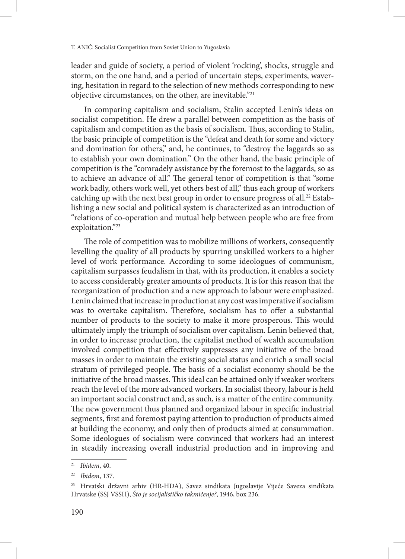leader and guide of society, a period of violent 'rocking', shocks, struggle and storm, on the one hand, and a period of uncertain steps, experiments, wavering, hesitation in regard to the selection of new methods corresponding to new objective circumstances, on the other, are inevitable."21

In comparing capitalism and socialism, Stalin accepted Lenin's ideas on socialist competition. He drew a parallel between competition as the basis of capitalism and competition as the basis of socialism. Thus, according to Stalin, the basic principle of competition is the "defeat and death for some and victory and domination for others," and, he continues, to "destroy the laggards so as to establish your own domination." On the other hand, the basic principle of competition is the "comradely assistance by the foremost to the laggards, so as to achieve an advance of all." The general tenor of competition is that "some work badly, others work well, yet others best of all," thus each group of workers catching up with the next best group in order to ensure progress of all.<sup>22</sup> Establishing a new social and political system is characterized as an introduction of "relations of co-operation and mutual help between people who are free from exploitation."23

The role of competition was to mobilize millions of workers, consequently levelling the quality of all products by spurring unskilled workers to a higher level of work performance. According to some ideologues of communism, capitalism surpasses feudalism in that, with its production, it enables a society to access considerably greater amounts of products. It is for this reason that the reorganization of production and a new approach to labour were emphasized. Lenin claimed that increase in production at any cost was imperative if socialism was to overtake capitalism. Therefore, socialism has to offer a substantial number of products to the society to make it more prosperous. This would ultimately imply the triumph of socialism over capitalism. Lenin believed that, in order to increase production, the capitalist method of wealth accumulation involved competition that effectively suppresses any initiative of the broad masses in order to maintain the existing social status and enrich a small social stratum of privileged people. The basis of a socialist economy should be the initiative of the broad masses. This ideal can be attained only if weaker workers reach the level of the more advanced workers. In socialist theory, labour is held an important social construct and, as such, is a matter of the entire community. The new government thus planned and organized labour in specific industrial segments, first and foremost paying attention to production of products aimed at building the economy, and only then of products aimed at consummation. Some ideologues of socialism were convinced that workers had an interest in steadily increasing overall industrial production and in improving and

<sup>21</sup> *Ibidem*, 40.

<sup>22</sup> *Ibidem*, 137.

<sup>23</sup> Hrvatski državni arhiv (HR-HDA), Savez sindikata Jugoslavije Vijeće Saveza sindikata Hrvatske (SSJ VSSH), *Što je socijalističko takmičenje?*, 1946, box 236.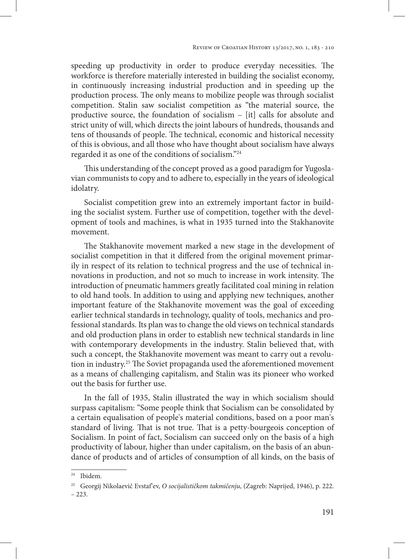speeding up productivity in order to produce everyday necessities. The workforce is therefore materially interested in building the socialist economy, in continuously increasing industrial production and in speeding up the production process. The only means to mobilize people was through socialist competition. Stalin saw socialist competition as "the material source, the productive source, the foundation of socialism – [it] calls for absolute and strict unity of will, which directs the joint labours of hundreds, thousands and tens of thousands of people. The technical, economic and historical necessity of this is obvious, and all those who have thought about socialism have always regarded it as one of the conditions of socialism."24

This understanding of the concept proved as a good paradigm for Yugoslavian communists to copy and to adhere to, especially in the years of ideological idolatry.

Socialist competition grew into an extremely important factor in building the socialist system. Further use of competition, together with the development of tools and machines, is what in 1935 turned into the Stakhanovite movement.

The Stakhanovite movement marked a new stage in the development of socialist competition in that it differed from the original movement primarily in respect of its relation to technical progress and the use of technical innovations in production, and not so much to increase in work intensity. The introduction of pneumatic hammers greatly facilitated coal mining in relation to old hand tools. In addition to using and applying new techniques, another important feature of the Stakhanovite movement was the goal of exceeding earlier technical standards in technology, quality of tools, mechanics and professional standards. Its plan was to change the old views on technical standards and old production plans in order to establish new technical standards in line with contemporary developments in the industry. Stalin believed that, with such a concept, the Stakhanovite movement was meant to carry out a revolution in industry.25 The Soviet propaganda used the aforementioned movement as a means of challenging capitalism, and Stalin was its pioneer who worked out the basis for further use.

In the fall of 1935, Stalin illustrated the way in which socialism should surpass capitalism: "Some people think that Socialism can be consolidated by a certain equalisation of people's material conditions, based on a poor man's standard of living. That is not true. That is a petty-bourgeois conception of Socialism. In point of fact, Socialism can succeed only on the basis of a high productivity of labour, higher than under capitalism, on the basis of an abundance of products and of articles of consumption of all kinds, on the basis of

<sup>24</sup> Ibidem.

<sup>&</sup>lt;sup>25</sup> Georgij Nikolaevič Evstaf'ev, O socijalističkom takmičenju, (Zagreb: Naprijed, 1946), p. 222. – 223.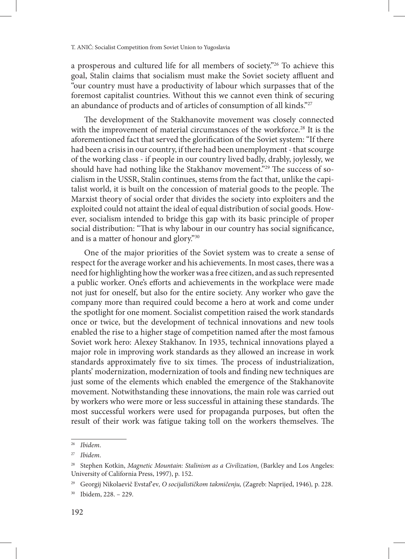a prosperous and cultured life for all members of society."26 To achieve this goal, Stalin claims that socialism must make the Soviet society affluent and "our country must have a productivity of labour which surpasses that of the foremost capitalist countries. Without this we cannot even think of securing an abundance of products and of articles of consumption of all kinds."<sup>27</sup>

The development of the Stakhanovite movement was closely connected with the improvement of material circumstances of the workforce.<sup>28</sup> It is the aforementioned fact that served the glorification of the Soviet system: "If there had been a crisis in our country, if there had been unemployment - that scourge of the working class - if people in our country lived badly, drably, joylessly, we should have had nothing like the Stakhanov movement."29 The success of socialism in the USSR, Stalin continues, stems from the fact that, unlike the capitalist world, it is built on the concession of material goods to the people. The Marxist theory of social order that divides the society into exploiters and the exploited could not attaint the ideal of equal distribution of social goods. However, socialism intended to bridge this gap with its basic principle of proper social distribution: "That is why labour in our country has social significance, and is a matter of honour and glory."30

One of the major priorities of the Soviet system was to create a sense of respect for the average worker and his achievements. In most cases, there was a need for highlighting how the worker was a free citizen, and as such represented a public worker. One's efforts and achievements in the workplace were made not just for oneself, but also for the entire society. Any worker who gave the company more than required could become a hero at work and come under the spotlight for one moment. Socialist competition raised the work standards once or twice, but the development of technical innovations and new tools enabled the rise to a higher stage of competition named after the most famous Soviet work hero: Alexey Stakhanov. In 1935, technical innovations played a major role in improving work standards as they allowed an increase in work standards approximately five to six times. The process of industrialization, plants' modernization, modernization of tools and finding new techniques are just some of the elements which enabled the emergence of the Stakhanovite movement. Notwithstanding these innovations, the main role was carried out by workers who were more or less successful in attaining these standards. The most successful workers were used for propaganda purposes, but often the result of their work was fatigue taking toll on the workers themselves. The

<sup>26</sup> *Ibidem*.

<sup>27</sup> *Ibidem*.

<sup>28</sup> Stephen Kotkin, *Magnetic Mountain: Stalinism as a Civilization*, (Barkley and Los Angeles: University of California Press, 1997), p. 152.

<sup>29</sup> Georgij Nikolaevič Evstafʹev*, O socijalističkom takmičenju,* (Zagreb: Naprijed, 1946)*,* p. 228.

<sup>30</sup> Ibidem, 228. – 229.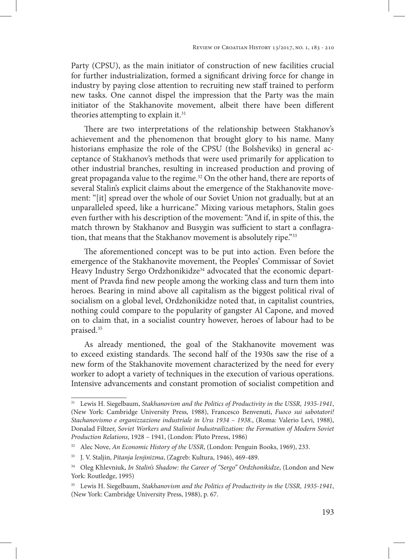Party (CPSU), as the main initiator of construction of new facilities crucial for further industrialization, formed a significant driving force for change in industry by paying close attention to recruiting new staff trained to perform new tasks. One cannot dispel the impression that the Party was the main initiator of the Stakhanovite movement, albeit there have been different theories attempting to explain it.<sup>31</sup>

There are two interpretations of the relationship between Stakhanov's achievement and the phenomenon that brought glory to his name. Many historians emphasize the role of the CPSU (the Bolsheviks) in general acceptance of Stakhanov's methods that were used primarily for application to other industrial branches, resulting in increased production and proving of great propaganda value to the regime.<sup>32</sup> On the other hand, there are reports of several Stalin's explicit claims about the emergence of the Stakhanovite movement: "[it] spread over the whole of our Soviet Union not gradually, but at an unparalleled speed, like a hurricane." Mixing various metaphors, Stalin goes even further with his description of the movement: "And if, in spite of this, the match thrown by Stakhanov and Busygin was sufficient to start a conflagration, that means that the Stakhanov movement is absolutely ripe."33

The aforementioned concept was to be put into action. Even before the emergence of the Stakhanovite movement, the Peoples' Commissar of Soviet Heavy Industry Sergo Ordzhonikidze<sup>34</sup> advocated that the economic department of Pravda find new people among the working class and turn them into heroes. Bearing in mind above all capitalism as the biggest political rival of socialism on a global level, Ordzhonikidze noted that, in capitalist countries, nothing could compare to the popularity of gangster Al Capone, and moved on to claim that, in a socialist country however, heroes of labour had to be praised.35

As already mentioned, the goal of the Stakhanovite movement was to exceed existing standards. The second half of the 1930s saw the rise of a new form of the Stakhanovite movement characterized by the need for every worker to adopt a variety of techniques in the execution of various operations. Intensive advancements and constant promotion of socialist competition and

<sup>31</sup> Lewis H. Siegelbaum, *Stakhanovism and the Politics of Productivity in the USSR, 1935-1941*, (New York: Cambridge University Press, 1988), Francesco Benvenuti, *Fuoco sui sabotatori! Stachanovismo e organizzazione industriale in Urss 1934 – 1938.*, (Roma: Valerio Levi, 1988), Donalad Filtzer, *Soviet Workers and Stalinist Industrailization: the Formation of Modern Soviet Production Relations*, 1928 – 1941, (London: Pluto Prress, 1986)

<sup>32</sup> Alec Nove, *An Economic History of the USSR*, (London: Penguin Books, 1969), 233.

<sup>33</sup> J. V. Staljin, *Pitanja lenjinizma*, (Zagreb: Kultura, 1946), 469-489.

<sup>34</sup> Oleg Khlevniuk, *In Stalin's Shadow: the Career of "Sergo" Ordzhonikidze*, (London and New York: Routledge, 1995)

<sup>35</sup> Lewis H. Siegelbaum, *Stakhanovism and the Politics of Productivity in the USSR, 1935-1941*, (New York: Cambridge University Press, 1988), p. 67.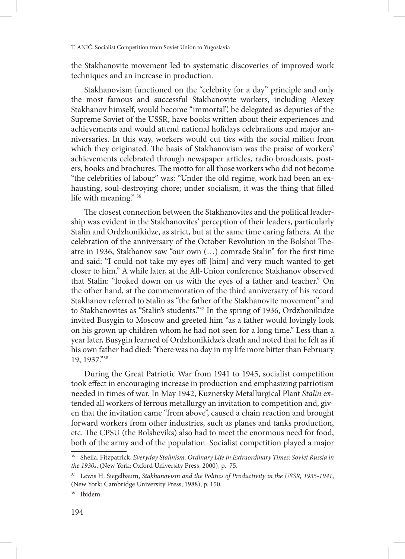the Stakhanovite movement led to systematic discoveries of improved work techniques and an increase in production.

Stakhanovism functioned on the "celebrity for a day" principle and only the most famous and successful Stakhanovite workers, including Alexey Stakhanov himself, would become "immortal", be delegated as deputies of the Supreme Soviet of the USSR, have books written about their experiences and achievements and would attend national holidays celebrations and major anniversaries. In this way, workers would cut ties with the social milieu from which they originated. The basis of Stakhanovism was the praise of workers' achievements celebrated through newspaper articles, radio broadcasts, posters, books and brochures. The motto for all those workers who did not become "the celebrities of labour" was: "Under the old regime, work had been an exhausting, soul-destroying chore; under socialism, it was the thing that filled life with meaning." 36

The closest connection between the Stakhanovites and the political leadership was evident in the Stakhanovites' perception of their leaders, particularly Stalin and Ordzhonikidze, as strict, but at the same time caring fathers. At the celebration of the anniversary of the October Revolution in the Bolshoi Theatre in 1936, Stakhanov saw "our own (…) comrade Stalin" for the first time and said: "I could not take my eyes off [him] and very much wanted to get closer to him." A while later, at the All-Union conference Stakhanov observed that Stalin: "looked down on us with the eyes of a father and teacher." On the other hand, at the commemoration of the third anniversary of his record Stakhanov referred to Stalin as "the father of the Stakhanovite movement" and to Stakhanovites as "Stalin's students."37 In the spring of 1936, Ordzhonikidze invited Busygin to Moscow and greeted him "as a father would lovingly look on his grown up children whom he had not seen for a long time." Less than a year later, Busygin learned of Ordzhonikidze's death and noted that he felt as if his own father had died: "there was no day in my life more bitter than February 19, 1937."38

During the Great Patriotic War from 1941 to 1945, socialist competition took effect in encouraging increase in production and emphasizing patriotism needed in times of war. In May 1942, Kuznetsky Metallurgical Plant *Stalin* extended all workers of ferrous metallurgy an invitation to competition and, given that the invitation came "from above", caused a chain reaction and brought forward workers from other industries, such as planes and tanks production, etc. The CPSU (the Bolsheviks) also had to meet the enormous need for food, both of the army and of the population. Socialist competition played a major

<sup>36</sup> Sheila, Fitzpatrick, *Everyday Stalinism. Ordinary Life in Extraordinary Times: Soviet Russia in the 1930s*, (New York: Oxford University Press, 2000), p. 75.

<sup>37</sup> Lewis H. Siegelbaum, *Stakhanovism and the Politics of Productivity in the USSR, 1935-1941*, (New York: Cambridge University Press, 1988), p. 150.

<sup>38</sup> Ibidem.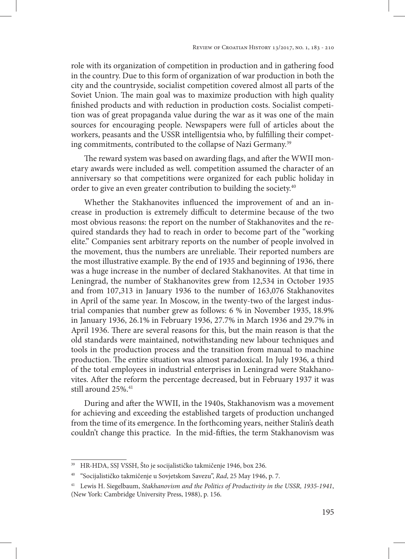role with its organization of competition in production and in gathering food in the country. Due to this form of organization of war production in both the city and the countryside, socialist competition covered almost all parts of the Soviet Union. The main goal was to maximize production with high quality finished products and with reduction in production costs. Socialist competition was of great propaganda value during the war as it was one of the main sources for encouraging people. Newspapers were full of articles about the workers, peasants and the USSR intelligentsia who, by fulfilling their competing commitments, contributed to the collapse of Nazi Germany.<sup>39</sup>

The reward system was based on awarding flags, and after the WWII monetary awards were included as well. competition assumed the character of an anniversary so that competitions were organized for each public holiday in order to give an even greater contribution to building the society.<sup>40</sup>

Whether the Stakhanovites influenced the improvement of and an increase in production is extremely difficult to determine because of the two most obvious reasons: the report on the number of Stakhanovites and the required standards they had to reach in order to become part of the "working elite." Companies sent arbitrary reports on the number of people involved in the movement, thus the numbers are unreliable. Their reported numbers are the most illustrative example. By the end of 1935 and beginning of 1936, there was a huge increase in the number of declared Stakhanovites. At that time in Leningrad, the number of Stakhanovites grew from 12,534 in October 1935 and from 107,313 in January 1936 to the number of 163,076 Stakhanovites in April of the same year. In Moscow, in the twenty-two of the largest industrial companies that number grew as follows: 6 % in November 1935, 18.9% in January 1936, 26.1% in February 1936, 27.7% in March 1936 and 29.7% in April 1936. There are several reasons for this, but the main reason is that the old standards were maintained, notwithstanding new labour techniques and tools in the production process and the transition from manual to machine production. The entire situation was almost paradoxical. In July 1936, a third of the total employees in industrial enterprises in Leningrad were Stakhanovites. After the reform the percentage decreased, but in February 1937 it was still around 25%.<sup>41</sup>

During and after the WWII, in the 1940s, Stakhanovism was a movement for achieving and exceeding the established targets of production unchanged from the time of its emergence. In the forthcoming years, neither Stalin's death couldn't change this practice. In the mid-fifties, the term Stakhanovism was

<sup>39</sup> HR-HDA, SSJ VSSH, Što je socijalističko takmičenje 1946, box 236.

<sup>40</sup> "Socijalističko takmičenje u Sovjetskom Savezu", *Rad*, 25 May 1946, p. 7.

<sup>41</sup> Lewis H. Siegelbaum, *Stakhanovism and the Politics of Productivity in the USSR, 1935-1941*, (New York: Cambridge University Press, 1988), p. 156.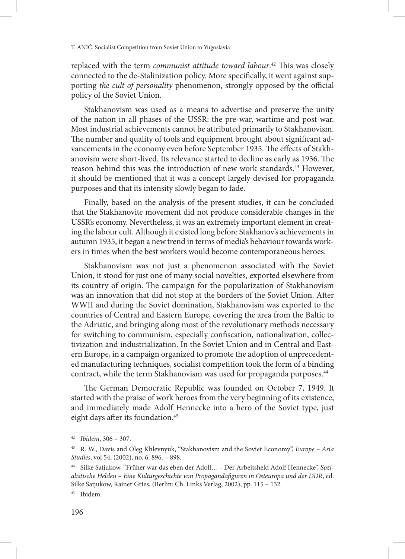replaced with the term *communist attitude toward labour*. 42 This was closely connected to the de-Stalinization policy. More specifically, it went against supporting *the cult of personality* phenomenon, strongly opposed by the official policy of the Soviet Union.

Stakhanovism was used as a means to advertise and preserve the unity of the nation in all phases of the USSR: the pre-war, wartime and post-war. Most industrial achievements cannot be attributed primarily to Stakhanovism. The number and quality of tools and equipment brought about significant advancements in the economy even before September 1935. The effects of Stakhanovism were short-lived. Its relevance started to decline as early as 1936. The reason behind this was the introduction of new work standards.<sup>43</sup> However, it should be mentioned that it was a concept largely devised for propaganda purposes and that its intensity slowly began to fade.

Finally, based on the analysis of the present studies, it can be concluded that the Stakhanovite movement did not produce considerable changes in the USSR's economy. Nevertheless, it was an extremely important element in creating the labour cult. Although it existed long before Stakhanov's achievements in autumn 1935, it began a new trend in terms of media's behaviour towards workers in times when the best workers would become contemporaneous heroes.

Stakhanovism was not just a phenomenon associated with the Soviet Union, it stood for just one of many social novelties, exported elsewhere from its country of origin. The campaign for the popularization of Stakhanovism was an innovation that did not stop at the borders of the Soviet Union. After WWII and during the Soviet domination, Stakhanovism was exported to the countries of Central and Eastern Europe, covering the area from the Baltic to the Adriatic, and bringing along most of the revolutionary methods necessary for switching to communism, especially confiscation, nationalization, collectivization and industrialization. In the Soviet Union and in Central and Eastern Europe, in a campaign organized to promote the adoption of unprecedented manufacturing techniques, socialist competition took the form of a binding contract, while the term Stakhanovism was used for propaganda purposes.<sup>44</sup>

The German Democratic Republic was founded on October 7, 1949. It started with the praise of work heroes from the very beginning of its existence, and immediately made Adolf Hennecke into a hero of the Soviet type, just eight days after its foundation.<sup>45</sup>

<sup>42</sup> *Ibidem*, 306 – 307.

<sup>43</sup> R. W., Davis and Oleg Khlevnyuk, "Stakhanovism and the Soviet Economy", *Europe – Asia Studies*, vol 54, (2002), no. 6: 896. – 898.

<sup>44</sup> Silke Satjukow, "Früher war das eben der Adolf… - Der Arbeitsheld Adolf Hennecke", *Sozialistische Helden – Eine Kulturgeschichte von Propagandafiguren in Osteuropa und der DDR*, ed. Silke Satjukow, Rainer Gries, (Berlin: Ch. Links Verlag, 2002), pp. 115 – 132.

<sup>45</sup> Ibidem.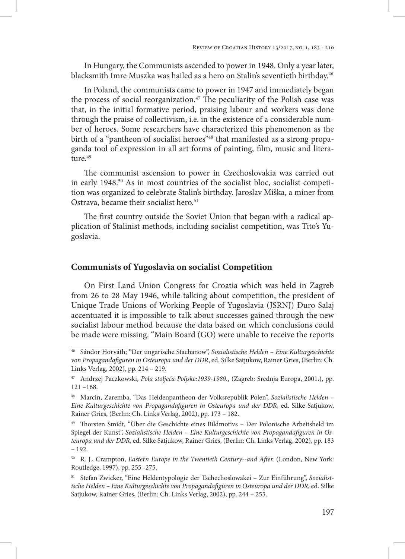In Hungary, the Communists ascended to power in 1948. Only a year later, blacksmith Imre Muszka was hailed as a hero on Stalin's seventieth birthday.<sup>46</sup>

In Poland, the communists came to power in 1947 and immediately began the process of social reorganization.<sup>47</sup> The peculiarity of the Polish case was that, in the initial formative period, praising labour and workers was done through the praise of collectivism, i.e. in the existence of a considerable number of heroes. Some researchers have characterized this phenomenon as the birth of a "pantheon of socialist heroes"<sup>48</sup> that manifested as a strong propaganda tool of expression in all art forms of painting, film, music and litera $t$ ure<sup>49</sup>

The communist ascension to power in Czechoslovakia was carried out in early 1948.<sup>50</sup> As in most countries of the socialist bloc, socialist competition was organized to celebrate Stalin's birthday. Jaroslav Miška, a miner from Ostrava, became their socialist hero.<sup>51</sup>

The first country outside the Soviet Union that began with a radical application of Stalinist methods, including socialist competition, was Tito's Yugoslavia.

# **Communists of Yugoslavia on socialist Competition**

On First Land Union Congress for Croatia which was held in Zagreb from 26 to 28 May 1946, while talking about competition, the president of Unique Trade Unions of Working People of Yugoslavia (JSRNJ) Đuro Salaj accentuated it is impossible to talk about successes gained through the new socialist labour method because the data based on which conclusions could be made were missing. "Main Board (GO) were unable to receive the reports

<sup>46</sup> Sándor Horváth; "Der ungarische Stachanow", *Sozialistische Helden – Eine Kulturgeschichte von Propagandafiguren in Osteuropa und der DDR*, ed. Silke Satjukow, Rainer Gries, (Berlin: Ch. Links Verlag, 2002), pp. 214 – 219.

<sup>47</sup> Andrzej Paczkowski, *Pola stoljeća Poljske:1939-1989.*, (Zagreb: Srednja Europa, 2001.), pp. 121 –168.

<sup>48</sup> Marcin, Zaremba, "Das Heldenpantheon der Volksrepublik Polen", *Sozialistische Helden – Eine Kulturgeschichte von Propagandafiguren in Osteuropa und der DDR*, ed. Silke Satjukow, Rainer Gries, (Berlin: Ch. Links Verlag, 2002), pp. 173 – 182.

<sup>49</sup> Thorsten Smidt, "Über die Geschichte eines Bildmotivs – Der Polonische Arbeitsheld im Spiegel der Kunst", *Sozialistische Helden – Eine Kulturgeschichte von Propagandafiguren in Osteuropa und der DDR*, ed. Silke Satjukow, Rainer Gries, (Berlin: Ch. Links Verlag, 2002), pp. 183 – 192.

<sup>&</sup>lt;sup>50</sup> R. J., Crampton, *Eastern Europe in the Twentieth Century--and After*, (London, New York: Routledge, 1997), pp. 255 -275.

<sup>51</sup> Stefan Zwicker, "Eine Heldentypologie der Tschechoslowakei – Zur Einführung", *Sozialistische Helden – Eine Kulturgeschichte von Propagandafiguren in Osteuropa und der DDR*, ed. Silke Satjukow, Rainer Gries, (Berlin: Ch. Links Verlag, 2002), pp. 244 – 255.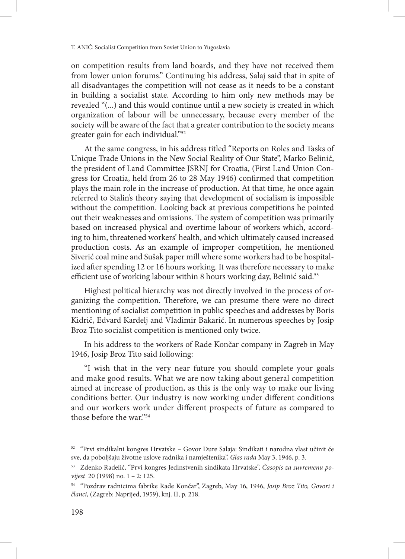on competition results from land boards, and they have not received them from lower union forums." Continuing his address, Salaj said that in spite of all disadvantages the competition will not cease as it needs to be a constant in building a socialist state. According to him only new methods may be revealed "(...) and this would continue until a new society is created in which organization of labour will be unnecessary, because every member of the society will be aware of the fact that a greater contribution to the society means greater gain for each individual."52

At the same congress, in his address titled "Reports on Roles and Tasks of Unique Trade Unions in the New Social Reality of Our State", Marko Belinić, the president of Land Committee JSRNJ for Croatia, (First Land Union Congress for Croatia, held from 26 to 28 May 1946) confirmed that competition plays the main role in the increase of production. At that time, he once again referred to Stalin's theory saying that development of socialism is impossible without the competition. Looking back at previous competitions he pointed out their weaknesses and omissions. The system of competition was primarily based on increased physical and overtime labour of workers which, according to him, threatened workers' health, and which ultimately caused increased production costs. As an example of improper competition, he mentioned Siverić coal mine and Sušak paper mill where some workers had to be hospitalized after spending 12 or 16 hours working. It was therefore necessary to make efficient use of working labour within 8 hours working day, Belinić said.<sup>53</sup>

Highest political hierarchy was not directly involved in the process of organizing the competition. Therefore, we can presume there were no direct mentioning of socialist competition in public speeches and addresses by Boris Kidrič, Edvard Kardelj and Vladimir Bakarić. In numerous speeches by Josip Broz Tito socialist competition is mentioned only twice.

In his address to the workers of Rade Končar company in Zagreb in May 1946, Josip Broz Tito said following:

"I wish that in the very near future you should complete your goals and make good results. What we are now taking about general competition aimed at increase of production, as this is the only way to make our living conditions better. Our industry is now working under different conditions and our workers work under different prospects of future as compared to those before the war."54

<sup>52</sup> "Prvi sindikalni kongres Hrvatske – Govor Đure Salaja: Sindikati i narodna vlast učinit će sve, da poboljšaju životne uslove radnika i namještenika", *Glas rada* May 3, 1946, p. 3.

<sup>53</sup> Zdenko Radelić, "Prvi kongres Jedinstvenih sindikata Hrvatske", *Časopis za suvremenu povijest* 20 (1998) no. 1 – 2: 125.

<sup>54</sup> "Pozdrav radnicima fabrike Rade Končar", Zagreb, May 16, 1946, *Josip Broz Tito, Govori i članci*, (Zagreb: Naprijed, 1959), knj. II, p. 218.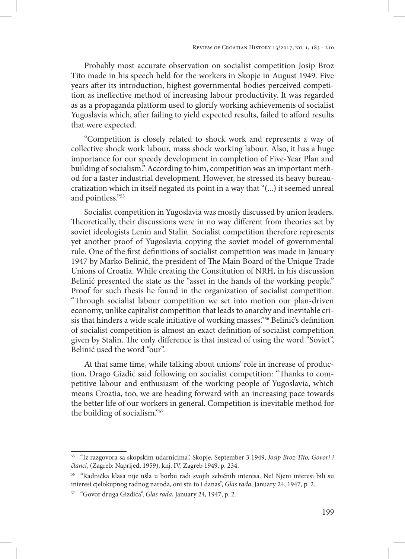Probably most accurate observation on socialist competition Josip Broz Tito made in his speech held for the workers in Skopje in August 1949. Five years after its introduction, highest governmental bodies perceived competition as ineffective method of increasing labour productivity. It was regarded as as a propaganda platform used to glorify working achievements of socialist Yugoslavia which, after failing to yield expected results, failed to afford results that were expected.

"Competition is closely related to shock work and represents a way of collective shock work labour, mass shock working labour. Also, it has a huge importance for our speedy development in completion of Five-Year Plan and building of socialism." According to him, competition was an important method for a faster industrial development. However, he stressed its heavy bureaucratization which in itself negated its point in a way that "(...) it seemed unreal and pointless."55

Socialist competition in Yugoslavia was mostly discussed by union leaders. Theoretically, their discussions were in no way different from theories set by soviet ideologists Lenin and Stalin. Socialist competition therefore represents yet another proof of Yugoslavia copying the soviet model of governmental rule. One of the first definitions of socialist competition was made in January 1947 by Marko Belinić, the president of The Main Board of the Unique Trade Unions of Croatia. While creating the Constitution of NRH, in his discussion Belinić presented the state as the "asset in the hands of the working people." Proof for such thesis he found in the organization of socialist competition. "Through socialist labour competition we set into motion our plan-driven economy, unlike capitalist competition that leads to anarchy and inevitable crisis that hinders a wide scale initiative of working masses."<sup>56</sup> Belinić's definition of socialist competition is almost an exact definition of socialist competition given by Stalin. The only difference is that instead of using the word "Soviet", Belinić used the word "our".

At that same time, while talking about unions' role in increase of production, Drago Gizdić said following on socialist competition: "Thanks to competitive labour and enthusiasm of the working people of Yugoslavia, which means Croatia, too, we are heading forward with an increasing pace towards the better life of our workers in general. Competition is inevitable method for the building of socialism."57

<sup>55</sup> "Iz razgovora sa skopskim udarnicima", Skopje, September 3 1949, *Josip Broz Tito, Govori i članci*, (Zagreb: Naprijed, 1959), knj. IV, Zagreb 1949, p. 234.

<sup>56</sup> "Radnička klasa nije ušla u borbu radi svojih sebičnih interesa. Ne! Njeni interesi bili su interesi cjelokupnog radnog naroda, oni stu to i danas", *Glas rada*, January 24, 1947, p. 2.

<sup>57</sup> "Govor druga Gizdića", *Glas rada*, January 24, 1947, p. 2.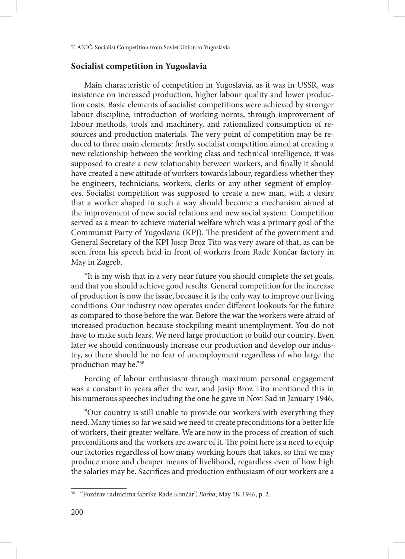### **Socialist competition in Yugoslavia**

Main characteristic of competition in Yugoslavia, as it was in USSR, was insistence on increased production, higher labour quality and lower production costs. Basic elements of socialist competitions were achieved by stronger labour discipline, introduction of working norms, through improvement of labour methods, tools and machinery, and rationalized consumption of resources and production materials. The very point of competition may be reduced to three main elements: firstly, socialist competition aimed at creating a new relationship between the working class and technical intelligence, it was supposed to create a new relationship between workers, and finally it should have created a new attitude of workers towards labour, regardless whether they be engineers, technicians, workers, clerks or any other segment of employees. Socialist competition was supposed to create a new man, with a desire that a worker shaped in such a way should become a mechanism aimed at the improvement of new social relations and new social system. Competition served as a mean to achieve material welfare which was a primary goal of the Communist Party of Yugoslavia (KPJ). The president of the government and General Secretary of the KPJ Josip Broz Tito was very aware of that, as can be seen from his speech held in front of workers from Rade Končar factory in May in Zagreb.

"It is my wish that in a very near future you should complete the set goals, and that you should achieve good results. General competition for the increase of production is now the issue, because it is the only way to improve our living conditions. Our industry now operates under different lookouts for the future as compared to those before the war. Before the war the workers were afraid of increased production because stockpiling meant unemployment. You do not have to make such fears. We need large production to build our country. Even later we should continuously increase our production and develop our industry, so there should be no fear of unemployment regardless of who large the production may be."58

Forcing of labour enthusiasm through maximum personal engagement was a constant in years after the war, and Josip Broz Tito mentioned this in his numerous speeches including the one he gave in Novi Sad in January 1946.

"Our country is still unable to provide our workers with everything they need. Many times so far we said we need to create preconditions for a better life of workers, their greater welfare. We are now in the process of creation of such preconditions and the workers are aware of it. The point here is a need to equip our factories regardless of how many working hours that takes, so that we may produce more and cheaper means of livelihood, regardless even of how high the salaries may be. Sacrifices and production enthusiasm of our workers are a

<sup>58</sup> "Pozdrav radnicima fabrike Rade Končar", *Borba*, May 18, 1946, p. 2.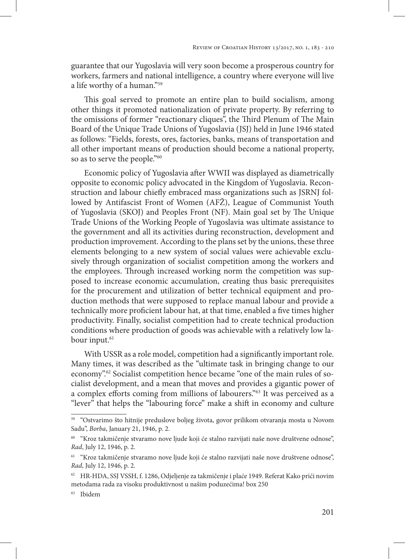guarantee that our Yugoslavia will very soon become a prosperous country for workers, farmers and national intelligence, a country where everyone will live a life worthy of a human."59

This goal served to promote an entire plan to build socialism, among other things it promoted nationalization of private property. By referring to the omissions of former "reactionary cliques", the Third Plenum of The Main Board of the Unique Trade Unions of Yugoslavia (JSJ) held in June 1946 stated as follows: "Fields, forests, ores, factories, banks, means of transportation and all other important means of production should become a national property, so as to serve the people."60

Economic policy of Yugoslavia after WWII was displayed as diametrically opposite to economic policy advocated in the Kingdom of Yugoslavia. Reconstruction and labour chiefly embraced mass organizations such as JSRNJ followed by Antifascist Front of Women (AFŽ), League of Communist Youth of Yugoslavia (SKOJ) and Peoples Front (NF). Main goal set by The Unique Trade Unions of the Working People of Yugoslavia was ultimate assistance to the government and all its activities during reconstruction, development and production improvement. According to the plans set by the unions, these three elements belonging to a new system of social values were achievable exclusively through organization of socialist competition among the workers and the employees. Through increased working norm the competition was supposed to increase economic accumulation, creating thus basic prerequisites for the procurement and utilization of better technical equipment and production methods that were supposed to replace manual labour and provide a technically more proficient labour hat, at that time, enabled a five times higher productivity. Finally, socialist competition had to create technical production conditions where production of goods was achievable with a relatively low labour input.<sup>61</sup>

With USSR as a role model, competition had a significantly important role. Many times, it was described as the "ultimate task in bringing change to our economy".<sup>62</sup> Socialist competition hence became "one of the main rules of socialist development, and a mean that moves and provides a gigantic power of a complex efforts coming from millions of labourers."63 It was perceived as a "lever" that helps the "labouring force" make a shift in economy and culture

<sup>59</sup> "Ostvarimo što hitnije preduslove boljeg života, govor prilikom otvaranja mosta u Novom Sadu", *Borba*, January 21, 1946, p. 2.

<sup>60</sup> "Kroz takmičenje stvaramo nove ljude koji će stalno razvijati naše nove društvene odnose", *Rad*, July 12, 1946, p. 2.

<sup>61</sup> "Kroz takmičenje stvaramo nove ljude koji će stalno razvijati naše nove društvene odnose", *Rad*, July 12, 1946, p. 2.

<sup>62</sup> HR-HDA, SSJ VSSH, f. 1286, Odjeljenje za takmičenje i plaće 1949. Referat Kako prići novim metodama rada za visoku produktivnost u našim poduzećima! box 250

<sup>63</sup> Ibidem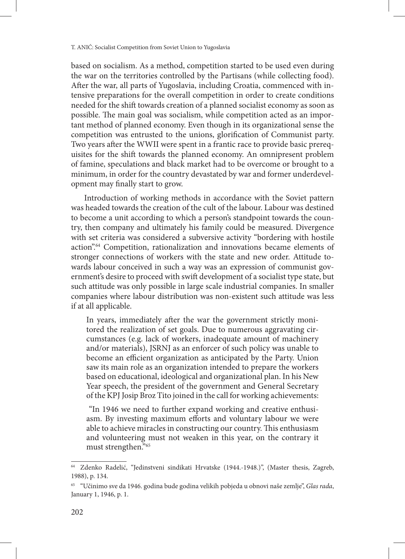based on socialism. As a method, competition started to be used even during the war on the territories controlled by the Partisans (while collecting food). After the war, all parts of Yugoslavia, including Croatia, commenced with intensive preparations for the overall competition in order to create conditions needed for the shift towards creation of a planned socialist economy as soon as possible. The main goal was socialism, while competition acted as an important method of planned economy. Even though in its organizational sense the competition was entrusted to the unions, glorification of Communist party. Two years after the WWII were spent in a frantic race to provide basic prerequisites for the shift towards the planned economy. An omnipresent problem of famine, speculations and black market had to be overcome or brought to a minimum, in order for the country devastated by war and former underdevelopment may finally start to grow.

Introduction of working methods in accordance with the Soviet pattern was headed towards the creation of the cult of the labour. Labour was destined to become a unit according to which a person's standpoint towards the country, then company and ultimately his family could be measured. Divergence with set criteria was considered a subversive activity "bordering with hostile action".64 Competition, rationalization and innovations became elements of stronger connections of workers with the state and new order. Attitude towards labour conceived in such a way was an expression of communist government's desire to proceed with swift development of a socialist type state, but such attitude was only possible in large scale industrial companies. In smaller companies where labour distribution was non-existent such attitude was less if at all applicable.

In years, immediately after the war the government strictly monitored the realization of set goals. Due to numerous aggravating circumstances (e.g. lack of workers, inadequate amount of machinery and/or materials), JSRNJ as an enforcer of such policy was unable to become an efficient organization as anticipated by the Party. Union saw its main role as an organization intended to prepare the workers based on educational, ideological and organizational plan. In his New Year speech, the president of the government and General Secretary of the KPJ Josip Broz Tito joined in the call for working achievements:

 "In 1946 we need to further expand working and creative enthusiasm. By investing maximum efforts and voluntary labour we were able to achieve miracles in constructing our country. This enthusiasm and volunteering must not weaken in this year, on the contrary it must strengthen."65

Zdenko Radelić, "Jedinstveni sindikati Hrvatske (1944.-1948.)", (Master thesis, Zagreb, 1988), p. 134.

<sup>65</sup> "Učinimo sve da 1946. godina bude godina velikih pobjeda u obnovi naše zemlje", *Glas rada*, January 1, 1946, p. 1.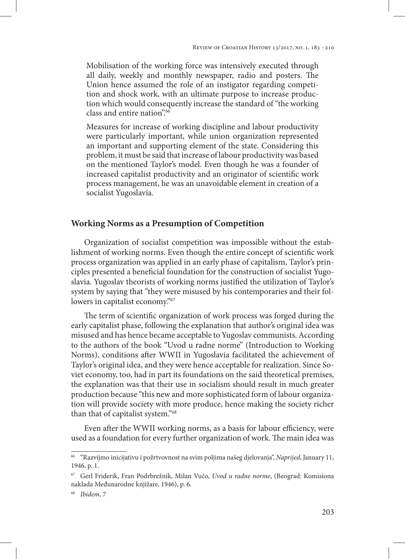Mobilisation of the working force was intensively executed through all daily, weekly and monthly newspaper, radio and posters. The Union hence assumed the role of an instigator regarding competition and shock work, with an ultimate purpose to increase production which would consequently increase the standard of "the working class and entire nation".66

Measures for increase of working discipline and labour productivity were particularly important, while union organization represented an important and supporting element of the state. Considering this problem, it must be said that increase of labour productivity was based on the mentioned Taylor's model. Even though he was a founder of increased capitalist productivity and an originator of scientific work process management, he was an unavoidable element in creation of a socialist Yugoslavia.

# **Working Norms as a Presumption of Competition**

Organization of socialist competition was impossible without the establishment of working norms. Even though the entire concept of scientific work process organization was applied in an early phase of capitalism, Taylor's principles presented a beneficial foundation for the construction of socialist Yugoslavia. Yugoslav theorists of working norms justified the utilization of Taylor's system by saying that "they were misused by his contemporaries and their followers in capitalist economy."67

The term of scientific organization of work process was forged during the early capitalist phase, following the explanation that author's original idea was misused and has hence became acceptable to Yugoslav communists. According to the authors of the book "Uvod u radne norme" (Introduction to Working Norms), conditions after WWII in Yugoslavia facilitated the achievement of Taylor's original idea, and they were hence acceptable for realization. Since Soviet economy, too, had in part its foundations on the said theoretical premises, the explanation was that their use in socialism should result in much greater production because "this new and more sophisticated form of labour organization will provide society with more produce, hence making the society richer than that of capitalist system."68

Even after the WWII working norms, as a basis for labour efficiency, were used as a foundation for every further organization of work. The main idea was

<sup>66</sup> "Razvijmo inicijativu i požrtvovnost na svim poljima našeg djelovanja", *Naprijed*, January 11, 1946, p. 1.

<sup>67</sup> Gerl Friderik, Fran Podrbrežnik, Milan Vučo, *Uvod u radne norme*, (Beograd: Komisiona naklada Međunarodne knjižare, 1946), p. 6.

<sup>68</sup> *Ibidem*, 7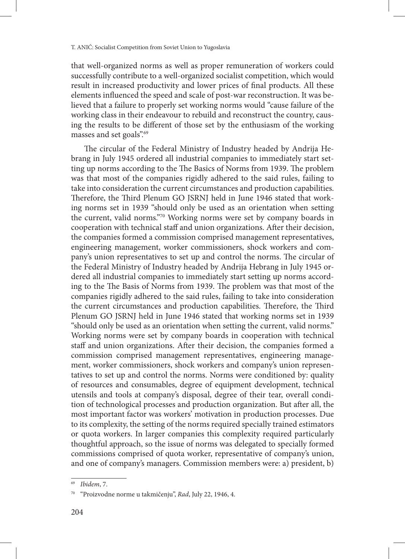that well-organized norms as well as proper remuneration of workers could successfully contribute to a well-organized socialist competition, which would result in increased productivity and lower prices of final products. All these elements influenced the speed and scale of post-war reconstruction. It was believed that a failure to properly set working norms would "cause failure of the working class in their endeavour to rebuild and reconstruct the country, causing the results to be different of those set by the enthusiasm of the working masses and set goals".69

The circular of the Federal Ministry of Industry headed by Andrija Hebrang in July 1945 ordered all industrial companies to immediately start setting up norms according to the The Basics of Norms from 1939. The problem was that most of the companies rigidly adhered to the said rules, failing to take into consideration the current circumstances and production capabilities. Therefore, the Third Plenum GO JSRNJ held in June 1946 stated that working norms set in 1939 "should only be used as an orientation when setting the current, valid norms."70 Working norms were set by company boards in cooperation with technical staff and union organizations. After their decision, the companies formed a commission comprised management representatives, engineering management, worker commissioners, shock workers and company's union representatives to set up and control the norms. The circular of the Federal Ministry of Industry headed by Andrija Hebrang in July 1945 ordered all industrial companies to immediately start setting up norms according to the The Basis of Norms from 1939. The problem was that most of the companies rigidly adhered to the said rules, failing to take into consideration the current circumstances and production capabilities. Therefore, the Third Plenum GO JSRNJ held in June 1946 stated that working norms set in 1939 "should only be used as an orientation when setting the current, valid norms." Working norms were set by company boards in cooperation with technical staff and union organizations. After their decision, the companies formed a commission comprised management representatives, engineering management, worker commissioners, shock workers and company's union representatives to set up and control the norms. Norms were conditioned by: quality of resources and consumables, degree of equipment development, technical utensils and tools at company's disposal, degree of their tear, overall condition of technological processes and production organization. But after all, the most important factor was workers' motivation in production processes. Due to its complexity, the setting of the norms required specially trained estimators or quota workers. In larger companies this complexity required particularly thoughtful approach, so the issue of norms was delegated to specially formed commissions comprised of quota worker, representative of company's union, and one of company's managers. Commission members were: a) president, b)

<sup>69</sup> *Ibidem*, 7.

<sup>70</sup> "Proizvodne norme u takmičenju", *Rad*, July 22, 1946, 4.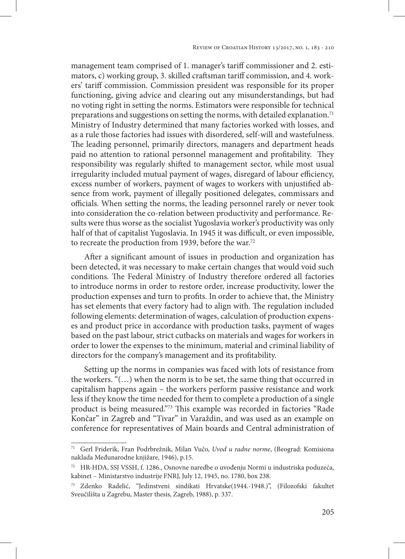management team comprised of 1. manager's tariff commissioner and 2. estimators, c) working group, 3. skilled craftsman tariff commission, and 4. workers' tariff commission. Commission president was responsible for its proper functioning, giving advice and clearing out any misunderstandings, but had no voting right in setting the norms. Estimators were responsible for technical preparations and suggestions on setting the norms, with detailed explanation.<sup>71</sup> Ministry of Industry determined that many factories worked with losses, and as a rule those factories had issues with disordered, self-will and wastefulness. The leading personnel, primarily directors, managers and department heads paid no attention to rational personnel management and profitability. They responsibility was regularly shifted to management sector, while most usual irregularity included mutual payment of wages, disregard of labour efficiency, excess number of workers, payment of wages to workers with unjustified absence from work, payment of illegally positioned delegates, commissars and officials. When setting the norms, the leading personnel rarely or never took into consideration the co-relation between productivity and performance. Results were thus worse as the socialist Yugoslavia worker's productivity was only half of that of capitalist Yugoslavia. In 1945 it was difficult, or even impossible, to recreate the production from 1939, before the war.<sup>72</sup>

After a significant amount of issues in production and organization has been detected, it was necessary to make certain changes that would void such conditions. The Federal Ministry of Industry therefore ordered all factories to introduce norms in order to restore order, increase productivity, lower the production expenses and turn to profits. In order to achieve that, the Ministry has set elements that every factory had to align with. The regulation included following elements: determination of wages, calculation of production expenses and product price in accordance with production tasks, payment of wages based on the past labour, strict cutbacks on materials and wages for workers in order to lower the expenses to the minimum, material and criminal liability of directors for the company's management and its profitability.

Setting up the norms in companies was faced with lots of resistance from the workers. "(…) when the norm is to be set, the same thing that occurred in capitalism happens again – the workers perform passive resistance and work less if they know the time needed for them to complete a production of a single product is being measured."73 This example was recorded in factories "Rade Končar" in Zagreb and "Tivar" in Varaždin, and was used as an example on conference for representatives of Main boards and Central administration of

<sup>71</sup> Gerl Friderik, Fran Podrbrežnik, Milan Vučo, *Uvod u radne norme*, (Beograd: Komisiona naklada Međunarodne knjižare, 1946), p.15.

<sup>72</sup> HR-HDA, SSJ VSSH, f. 1286., Osnovne naredbe o uvođenju Normi u industriska poduzeća, kabinet – Ministarstvo industrije FNRJ, July 12, 1945, no. 1780, box 238.

<sup>73</sup> Zdenko Radelić, "Jedinstveni sindikati Hrvatske(1944.-1948.)", (Filozofski fakultet Sveučilišta u Zagrebu, Master thesis, Zagreb, 1988), p. 337.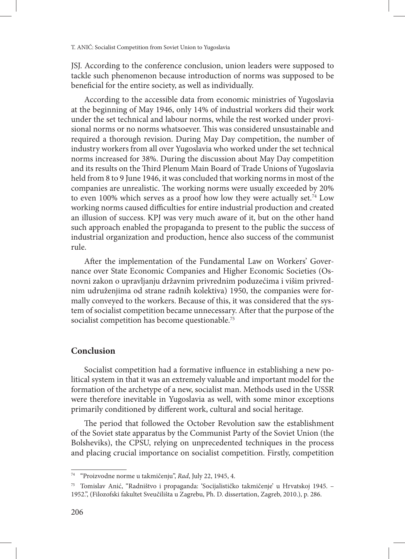JSJ. According to the conference conclusion, union leaders were supposed to tackle such phenomenon because introduction of norms was supposed to be beneficial for the entire society, as well as individually.

According to the accessible data from economic ministries of Yugoslavia at the beginning of May 1946, only 14% of industrial workers did their work under the set technical and labour norms, while the rest worked under provisional norms or no norms whatsoever. This was considered unsustainable and required a thorough revision. During May Day competition, the number of industry workers from all over Yugoslavia who worked under the set technical norms increased for 38%. During the discussion about May Day competition and its results on the Third Plenum Main Board of Trade Unions of Yugoslavia held from 8 to 9 June 1946, it was concluded that working norms in most of the companies are unrealistic. The working norms were usually exceeded by 20% to even 100% which serves as a proof how low they were actually set.<sup>74</sup> Low working norms caused difficulties for entire industrial production and created an illusion of success. KPJ was very much aware of it, but on the other hand such approach enabled the propaganda to present to the public the success of industrial organization and production, hence also success of the communist rule.

After the implementation of the Fundamental Law on Workers' Governance over State Economic Companies and Higher Economic Societies (Osnovni zakon o upravljanju državnim privrednim poduzećima i višim privrednim udruženjima od strane radnih kolektiva) 1950, the companies were formally conveyed to the workers. Because of this, it was considered that the system of socialist competition became unnecessary. After that the purpose of the socialist competition has become questionable.<sup>75</sup>

# **Conclusion**

Socialist competition had a formative influence in establishing a new political system in that it was an extremely valuable and important model for the formation of the archetype of a new, socialist man. Methods used in the USSR were therefore inevitable in Yugoslavia as well, with some minor exceptions primarily conditioned by different work, cultural and social heritage.

The period that followed the October Revolution saw the establishment of the Soviet state apparatus by the Communist Party of the Soviet Union (the Bolsheviks), the CPSU, relying on unprecedented techniques in the process and placing crucial importance on socialist competition. Firstly, competition

<sup>74</sup> "Proizvodne norme u takmičenju", *Rad*, July 22, 1945, 4.

<sup>75</sup> Tomislav Anić, "Radništvo i propaganda: 'Socijalističko takmičenje' u Hrvatskoj 1945. – 1952.", (Filozofski fakultet Sveučilišta u Zagrebu, Ph. D. dissertation, Zagreb, 2010.), p. 286.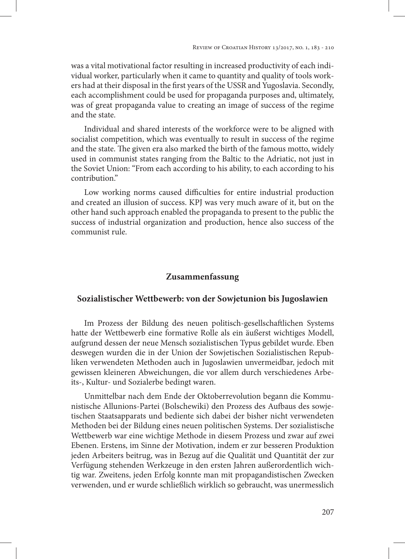was a vital motivational factor resulting in increased productivity of each individual worker, particularly when it came to quantity and quality of tools workers had at their disposal in the first years of the USSR and Yugoslavia. Secondly, each accomplishment could be used for propaganda purposes and, ultimately, was of great propaganda value to creating an image of success of the regime and the state.

Individual and shared interests of the workforce were to be aligned with socialist competition, which was eventually to result in success of the regime and the state. The given era also marked the birth of the famous motto, widely used in communist states ranging from the Baltic to the Adriatic, not just in the Soviet Union: "From each according to his ability, to each according to his contribution."

Low working norms caused difficulties for entire industrial production and created an illusion of success. KPJ was very much aware of it, but on the other hand such approach enabled the propaganda to present to the public the success of industrial organization and production, hence also success of the communist rule.

# **Zusammenfassung**

## **Sozialistischer Wettbewerb: von der Sowjetunion bis Jugoslawien**

Im Prozess der Bildung des neuen politisch-gesellschaftlichen Systems hatte der Wettbewerb eine formative Rolle als ein äußerst wichtiges Modell, aufgrund dessen der neue Mensch sozialistischen Typus gebildet wurde. Eben deswegen wurden die in der Union der Sowjetischen Sozialistischen Republiken verwendeten Methoden auch in Jugoslawien unvermeidbar, jedoch mit gewissen kleineren Abweichungen, die vor allem durch verschiedenes Arbeits-, Kultur- und Sozialerbe bedingt waren.

Unmittelbar nach dem Ende der Oktoberrevolution begann die Kommunistische Allunions-Partei (Bolschewiki) den Prozess des Aufbaus des sowjetischen Staatsapparats und bediente sich dabei der bisher nicht verwendeten Methoden bei der Bildung eines neuen politischen Systems. Der sozialistische Wettbewerb war eine wichtige Methode in diesem Prozess und zwar auf zwei Ebenen. Erstens, im Sinne der Motivation, indem er zur besseren Produktion jeden Arbeiters beitrug, was in Bezug auf die Qualität und Quantität der zur Verfügung stehenden Werkzeuge in den ersten Jahren außerordentlich wichtig war. Zweitens, jeden Erfolg konnte man mit propagandistischen Zwecken verwenden, und er wurde schließlich wirklich so gebraucht, was unermesslich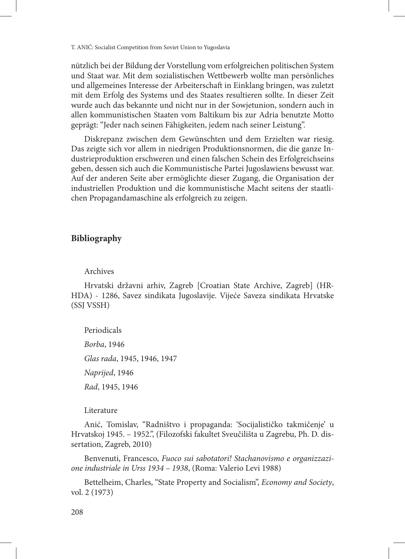nützlich bei der Bildung der Vorstellung vom erfolgreichen politischen System und Staat war. Mit dem sozialistischen Wettbewerb wollte man persönliches und allgemeines Interesse der Arbeiterschaft in Einklang bringen, was zuletzt mit dem Erfolg des Systems und des Staates resultieren sollte. In dieser Zeit wurde auch das bekannte und nicht nur in der Sowjetunion, sondern auch in allen kommunistischen Staaten vom Baltikum bis zur Adria benutzte Motto geprägt: "Jeder nach seinen Fähigkeiten, jedem nach seiner Leistung".

Diskrepanz zwischen dem Gewünschten und dem Erzielten war riesig. Das zeigte sich vor allem in niedrigen Produktionsnormen, die die ganze Industrieproduktion erschweren und einen falschen Schein des Erfolgreichseins geben, dessen sich auch die Kommunistische Partei Jugoslawiens bewusst war. Auf der anderen Seite aber ermöglichte dieser Zugang, die Organisation der industriellen Produktion und die kommunistische Macht seitens der staatlichen Propagandamaschine als erfolgreich zu zeigen.

### **Bibliography**

### Archives

Hrvatski državni arhiv, Zagreb [Croatian State Archive, Zagreb] (HR-HDA) - 1286, Savez sindikata Jugoslavije. Vijeće Saveza sindikata Hrvatske (SSJ VSSH)

Periodicals

*Borba*, 1946

*Glas rada*, 1945, 1946, 1947

*Naprijed*, 1946

*Rad*, 1945, 1946

### Literature

Anić, Tomislav, "Radništvo i propaganda: 'Socijalističko takmičenje' u Hrvatskoj 1945. – 1952.", (Filozofski fakultet Sveučilišta u Zagrebu, Ph. D. dissertation, Zagreb, 2010)

Benvenuti, Francesco, *Fuoco sui sabotatori! Stachanovismo e organizzazione industriale in Urss 1934 – 1938*, (Roma: Valerio Levi 1988)

Bettelheim, Charles, "State Property and Socialism", *Economy and Society*, vol. 2 (1973)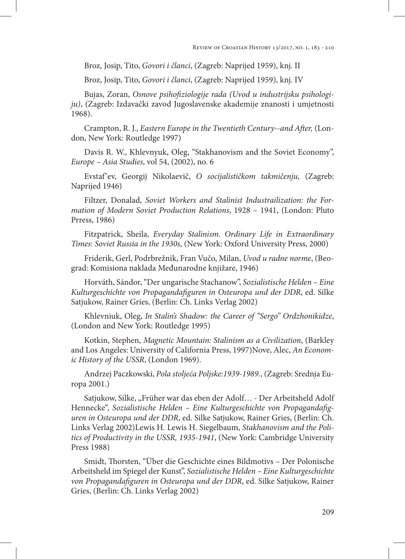Broz, Josip, Tito, *Govori i članci*, (Zagreb: Naprijed 1959), knj. II

Broz, Josip, Tito, *Govori i članci*, (Zagreb: Naprijed 1959), knj. IV

Bujas, Zoran, *Osnove psihofiziologije rada (Uvod u industrijsku psihologiju)*, (Zagreb: Izdavački zavod Jugoslavenske akademije znanosti i umjetnosti 1968).

Crampton, R. J., *Eastern Europe in the Twentieth Century--and After,* (London, New York: Routledge 1997)

Davis R. W., Khlevnyuk, Oleg, "Stakhanovism and the Soviet Economy", *Europe – Asia Studies*, vol 54, (2002), no. 6

Evstaf'ev, Georgij Nikolaevič, *O socijalističkom takmičenju,* (Zagreb: Naprijed 1946)

Filtzer, Donalad, *Soviet Workers and Stalinist Industrailization: the Formation of Modern Soviet Production Relations*, 1928 – 1941, (London: Pluto Prress, 1986)

Fitzpatrick, Sheila, *Everyday Stalinism. Ordinary Life in Extraordinary Times: Soviet Russia in the 1930s*, (New York: Oxford University Press, 2000)

Friderik, Gerl, Podrbrežnik, Fran Vučo, Milan, *Uvod u radne norme*, (Beograd: Komisiona naklada Međunarodne knjižare, 1946)

Horváth, Sándor, "Der ungarische Stachanow", *Sozialistische Helden – Eine Kulturgeschichte von Propagandafiguren in Osteuropa und der DDR*, ed. Silke Satjukow, Rainer Gries, (Berlin: Ch. Links Verlag 2002)

Khlevniuk, Oleg, *In Stalin's Shadow: the Career of "Sergo" Ordzhonikidze*, (London and New York: Routledge 1995)

Kotkin, Stephen, *Magnetic Mountain: Stalinism as a Civilization*, (Barkley and Los Angeles: University of California Press, 1997)Nove, Alec, *An Economic History of the USSR*, (London 1969).

Andrzej Paczkowski, *Pola stoljeća Poljske:1939-1989.*, (Zagreb: Srednja Europa 2001.)

Satjukow, Silke, "Früher war das eben der Adolf... - Der Arbeitsheld Adolf Hennecke", *Sozialistische Helden – Eine Kulturgeschichte von Propagandafiguren in Osteuropa und der DDR*, ed. Silke Satjukow, Rainer Gries, (Berlin: Ch. Links Verlag 2002)Lewis H. Lewis H. Siegelbaum, *Stakhanovism and the Politics of Productivity in the USSR, 1935-1941*, (New York: Cambridge University Press 1988)

Smidt, Thorsten, "Über die Geschichte eines Bildmotivs – Der Polonische Arbeitsheld im Spiegel der Kunst", *Sozialistische Helden – Eine Kulturgeschichte von Propagandafiguren in Osteuropa und der DDR*, ed. Silke Satjukow, Rainer Gries, (Berlin: Ch. Links Verlag 2002)